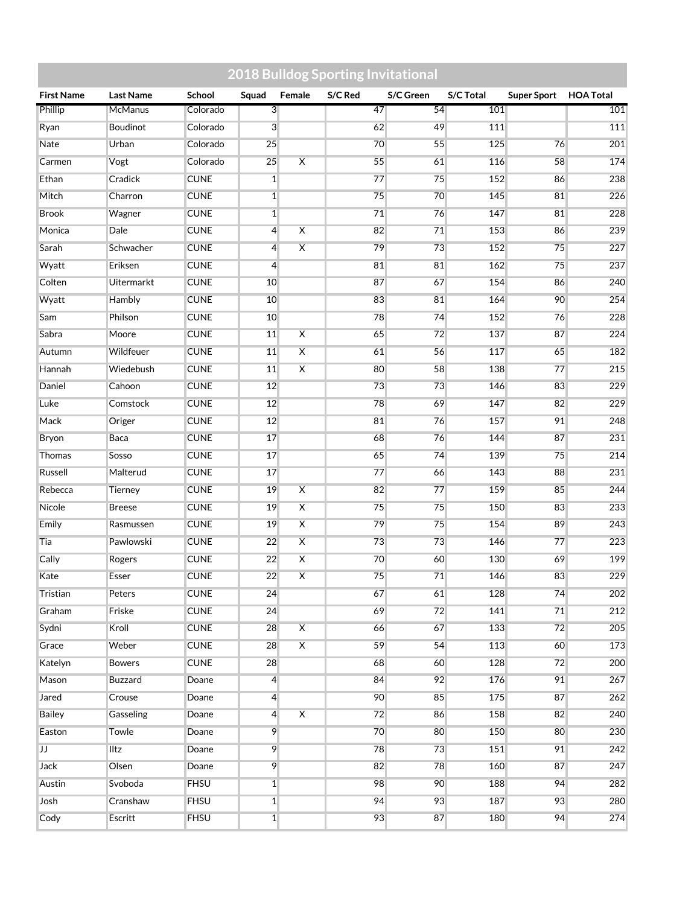|                   |                   |             | <b>2018 Bulldog Sporting Invitational</b> |                         |         |           |           |                    |                  |
|-------------------|-------------------|-------------|-------------------------------------------|-------------------------|---------|-----------|-----------|--------------------|------------------|
| <b>First Name</b> | <b>Last Name</b>  | School      | Squad                                     | Female                  | S/C Red | S/C Green | S/C Total | <b>Super Sport</b> | <b>HOA Total</b> |
| Phillip           | McManus           | Colorado    | $\overline{3}$                            |                         | 47      | 54        | 101       |                    | 101              |
| Ryan              | Boudinot          | Colorado    | 3                                         |                         | 62      | 49        | 111       |                    | 111              |
| <b>Nate</b>       | Urban             | Colorado    | 25                                        |                         | 70      | 55        | 125       | 76                 | 201              |
| Carmen            | Vogt              | Colorado    | 25                                        | $\overline{\mathsf{x}}$ | 55      | 61        | 116       | 58                 | 174              |
| Ethan             | Cradick           | <b>CUNE</b> | $\overline{1}$                            |                         | 77      | 75        | 152       | 86                 | 238              |
| Mitch             | Charron           | <b>CUNE</b> | $\mathbf{1}$                              |                         | 75      | 70        | 145       | 81                 | 226              |
| <b>Brook</b>      | Wagner            | <b>CUNE</b> | $\mathbf{1}$                              |                         | 71      | 76        | 147       | 81                 | 228              |
| Monica            | Dale              | <b>CUNE</b> | $\overline{4}$                            | $\overline{\mathsf{x}}$ | 82      | 71        | 153       | 86                 | 239              |
| Sarah             | Schwacher         | <b>CUNE</b> | $\overline{4}$                            | $\overline{\mathsf{x}}$ | 79      | 73        | 152       | 75                 | 227              |
| Wyatt             | Eriksen           | <b>CUNE</b> | $\overline{4}$                            |                         | 81      | 81        | 162       | 75                 | 237              |
| Colten            | <b>Uitermarkt</b> | <b>CUNE</b> | 10                                        |                         | 87      | 67        | 154       | 86                 | 240              |
| Wyatt             | Hambly            | <b>CUNE</b> | 10                                        |                         | 83      | 81        | 164       | 90                 | 254              |
| Sam               | Philson           | <b>CUNE</b> | 10                                        |                         | 78      | 74        | 152       | 76                 | 228              |
| Sabra             | Moore             | <b>CUNE</b> | 11                                        | $\overline{\mathsf{X}}$ | 65      | 72        | 137       | 87                 | 224              |
| Autumn            | Wildfeuer         | <b>CUNE</b> | 11                                        | $\overline{\mathsf{x}}$ | 61      | 56        | 117       | 65                 | 182              |
| Hannah            | Wiedebush         | <b>CUNE</b> | 11                                        | $\overline{\mathsf{x}}$ | 80      | 58        | 138       | 77                 | 215              |
| Daniel            | Cahoon            | <b>CUNE</b> | 12                                        |                         | 73      | 73        | 146       | 83                 | 229              |
| Luke              | Comstock          | <b>CUNE</b> | 12                                        |                         | 78      | 69        | 147       | 82                 | 229              |
| Mack              | Origer            | <b>CUNE</b> | 12                                        |                         | 81      | 76        | 157       | 91                 | 248              |
| Bryon             | Baca              | <b>CUNE</b> | 17                                        |                         | 68      | 76        | 144       | 87                 | 231              |
| Thomas            | Sosso             | <b>CUNE</b> | 17                                        |                         | 65      | 74        | 139       | 75                 | 214              |
| Russell           | Malterud          | <b>CUNE</b> | 17                                        |                         | 77      | 66        | 143       | 88                 | 231              |
| Rebecca           | Tierney           | <b>CUNE</b> | 19                                        | $\overline{\mathsf{x}}$ | 82      | 77        | 159       | 85                 | 244              |
| Nicole            | <b>Breese</b>     | <b>CUNE</b> | 19                                        | $\overline{\mathsf{x}}$ | 75      | 75        | 150       | 83                 | 233              |
| Emily             | Rasmussen         | <b>CUNE</b> | 19                                        | $\overline{\mathsf{x}}$ | 79      | 75        | 154       | 89                 | 243              |
| Tia               | Pawlowski         | <b>CUNE</b> | 22                                        | $\overline{\mathsf{X}}$ | 73      | 73        | 146       | 77                 | 223              |
| Cally             | Rogers            | <b>CUNE</b> | 22                                        | $\overline{\mathsf{x}}$ | 70      | 60        | 130       | 69                 | 199              |
| Kate              | Esser             | <b>CUNE</b> | 22                                        | $\overline{\mathsf{x}}$ | 75      | 71        | 146       | 83                 | 229              |
| Tristian          | Peters            | <b>CUNE</b> | 24                                        |                         | 67      | 61        | 128       | 74                 | 202              |
| Graham            | Friske            | <b>CUNE</b> | 24                                        |                         | 69      | 72        | 141       | 71                 | 212              |
| Sydni             | Kroll             | <b>CUNE</b> | 28                                        | $\overline{\mathsf{x}}$ | 66      | 67        | 133       | 72                 | 205              |
| Grace             | Weber             | <b>CUNE</b> | 28                                        | $\overline{\mathsf{X}}$ | 59      | 54        | 113       | 60                 | 173              |
| Katelyn           | <b>Bowers</b>     | <b>CUNE</b> | 28                                        |                         | 68      | 60        | 128       | 72                 | 200              |
| Mason             | Buzzard           | Doane       | $\overline{4}$                            |                         | 84      | 92        | 176       | 91                 | 267              |
| Jared             | Crouse            | Doane       | $\overline{4}$                            |                         | 90      | 85        | 175       | 87                 | 262              |
| <b>Bailey</b>     | Gasseling         | Doane       | $\overline{4}$                            | $\overline{X}$          | 72      | 86        | 158       | 82                 | 240              |
| Easton            | Towle             | Doane       | 9                                         |                         | 70      | 80        | 150       | 80                 | 230              |
| IJ                | Iltz              | Doane       | 9                                         |                         | 78      | 73        | 151       | 91                 | 242              |
| <b>Jack</b>       | Olsen             | Doane       | 9                                         |                         | 82      | 78        | 160       | 87                 | 247              |
| Austin            | Svoboda           | <b>FHSU</b> | $\overline{1}$                            |                         | 98      | 90        | 188       | 94                 | 282              |
| Josh              | Cranshaw          | <b>FHSU</b> | $\overline{1}$                            |                         | 94      | 93        | 187       | 93                 | 280              |
| Cody              | Escritt           | <b>FHSU</b> | $\overline{1}$                            |                         | 93      | 87        | 180       | 94                 | 274              |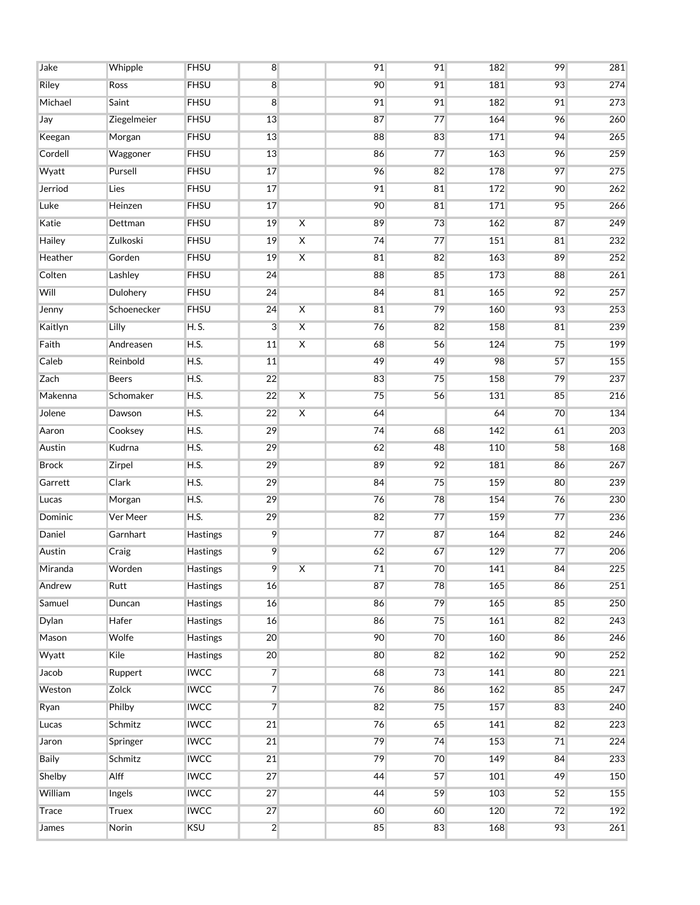| Jake         | Whipple      | <b>FHSU</b>     | 8              |                         | 91 | 91 | 182 | 99 | 281 |
|--------------|--------------|-----------------|----------------|-------------------------|----|----|-----|----|-----|
| Riley        | Ross         | <b>FHSU</b>     | $\overline{8}$ |                         | 90 | 91 | 181 | 93 | 274 |
| Michael      | Saint        | <b>FHSU</b>     | 8              |                         | 91 | 91 | 182 | 91 | 273 |
| Jay          | Ziegelmeier  | <b>FHSU</b>     | 13             |                         | 87 | 77 | 164 | 96 | 260 |
| Keegan       | Morgan       | <b>FHSU</b>     | 13             |                         | 88 | 83 | 171 | 94 | 265 |
| Cordell      | Waggoner     | <b>FHSU</b>     | 13             |                         | 86 | 77 | 163 | 96 | 259 |
| Wyatt        | Pursell      | <b>FHSU</b>     | 17             |                         | 96 | 82 | 178 | 97 | 275 |
| Jerriod      | Lies         | <b>FHSU</b>     | 17             |                         | 91 | 81 | 172 | 90 | 262 |
| Luke         | Heinzen      | <b>FHSU</b>     | 17             |                         | 90 | 81 | 171 | 95 | 266 |
| Katie        | Dettman      | <b>FHSU</b>     | 19             | $\overline{\mathsf{x}}$ | 89 | 73 | 162 | 87 | 249 |
| Hailey       | Zulkoski     | <b>FHSU</b>     | 19             | $\overline{\mathsf{X}}$ | 74 | 77 | 151 | 81 | 232 |
| Heather      | Gorden       | <b>FHSU</b>     | 19             | $\overline{\mathsf{x}}$ | 81 | 82 | 163 | 89 | 252 |
| Colten       | Lashley      | <b>FHSU</b>     | 24             |                         | 88 | 85 | 173 | 88 | 261 |
| Will         | Dulohery     | <b>FHSU</b>     | 24             |                         | 84 | 81 | 165 | 92 | 257 |
| Jenny        | Schoenecker  | <b>FHSU</b>     | 24             | $\overline{\mathsf{X}}$ | 81 | 79 | 160 | 93 | 253 |
| Kaitlyn      | Lilly        | H. S.           | $\overline{3}$ | $\overline{\mathsf{X}}$ | 76 | 82 | 158 | 81 | 239 |
| Faith        | Andreasen    | <b>H.S.</b>     | 11             | $\overline{\mathsf{X}}$ | 68 | 56 | 124 | 75 | 199 |
| Caleb        | Reinbold     | H.S.            | 11             |                         | 49 | 49 | 98  | 57 | 155 |
| Zach         | <b>Beers</b> | H.S.            | 22             |                         | 83 | 75 | 158 | 79 | 237 |
| Makenna      | Schomaker    | H.S.            | 22             | $\overline{\mathsf{x}}$ | 75 | 56 | 131 | 85 | 216 |
| Jolene       | Dawson       | H.S.            | 22             | $\overline{\mathsf{X}}$ | 64 |    | 64  | 70 | 134 |
| Aaron        | Cooksey      | H.S.            | 29             |                         | 74 | 68 | 142 | 61 | 203 |
| Austin       | Kudrna       | H.S.            | 29             |                         | 62 | 48 | 110 | 58 | 168 |
| <b>Brock</b> | Zirpel       | H.S.            | 29             |                         | 89 | 92 | 181 | 86 | 267 |
| Garrett      | Clark        | H.S.            | 29             |                         | 84 | 75 | 159 | 80 | 239 |
| Lucas        | Morgan       | H.S.            | 29             |                         | 76 | 78 | 154 | 76 | 230 |
| Dominic      | Ver Meer     | H.S.            | 29             |                         | 82 | 77 | 159 | 77 | 236 |
| Daniel       | Garnhart     | Hastings        | 9              |                         | 77 | 87 | 164 | 82 | 246 |
| Austin       | Craig        | Hastings        | 9              |                         | 62 | 67 | 129 | 77 | 206 |
| Miranda      | Worden       | Hastings        | 9              | $\overline{\mathsf{x}}$ | 71 | 70 | 141 | 84 | 225 |
| Andrew       | Rutt         | Hastings        | 16             |                         | 87 | 78 | 165 | 86 | 251 |
| Samuel       | Duncan       | Hastings        | 16             |                         | 86 | 79 | 165 | 85 | 250 |
| Dylan        | Hafer        | <b>Hastings</b> | 16             |                         | 86 | 75 | 161 | 82 | 243 |
| Mason        | Wolfe        | Hastings        | 20             |                         | 90 | 70 | 160 | 86 | 246 |
| Wyatt        | Kile         | <b>Hastings</b> | 20             |                         | 80 | 82 | 162 | 90 | 252 |
| Jacob        | Ruppert      | <b>IWCC</b>     | $\overline{7}$ |                         | 68 | 73 | 141 | 80 | 221 |
| Weston       | Zolck        | <b>IWCC</b>     | $\overline{7}$ |                         | 76 | 86 | 162 | 85 | 247 |
| Ryan         | Philby       | <b>IWCC</b>     | $\overline{7}$ |                         | 82 | 75 | 157 | 83 | 240 |
| Lucas        | Schmitz      | <b>IWCC</b>     | 21             |                         | 76 | 65 | 141 | 82 | 223 |
| Jaron        | Springer     | <b>IWCC</b>     | 21             |                         | 79 | 74 | 153 | 71 | 224 |
| <b>Baily</b> | Schmitz      | <b>IWCC</b>     | 21             |                         | 79 | 70 | 149 | 84 | 233 |
| Shelby       | Alff         | <b>IWCC</b>     | 27             |                         | 44 | 57 | 101 | 49 | 150 |
| William      | Ingels       | <b>IWCC</b>     | 27             |                         | 44 | 59 | 103 | 52 | 155 |
| Trace        | <b>Truex</b> | <b>IWCC</b>     | 27             |                         | 60 | 60 | 120 | 72 | 192 |
| James        | Norin        | <b>KSU</b>      | $\overline{2}$ |                         | 85 | 83 | 168 | 93 | 261 |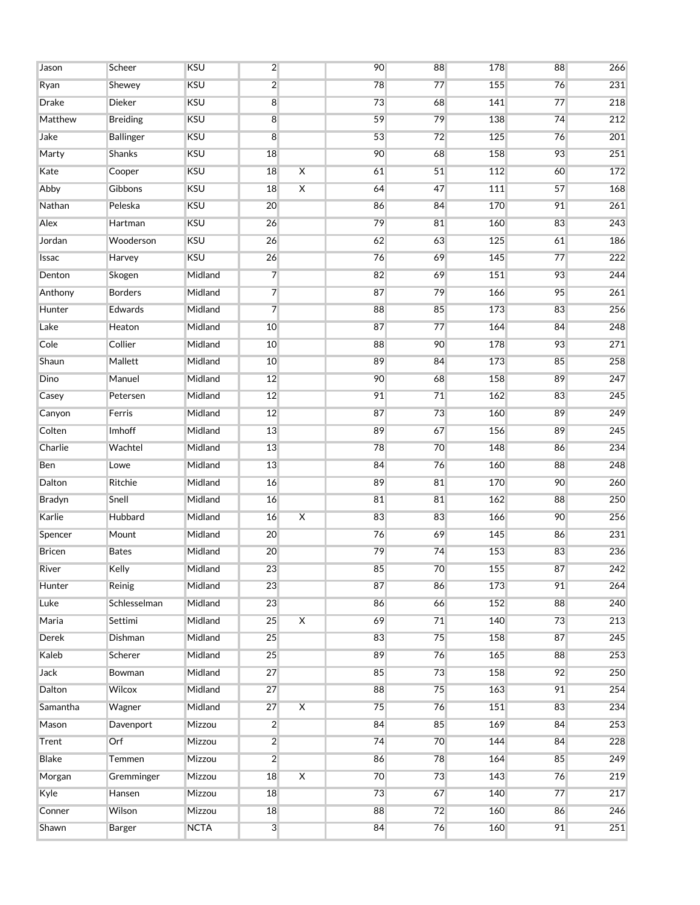| Jason    | Scheer           | <b>KSU</b>  | $\overline{2}$ |                         | 90 | 88 | 178 | 88 | 266 |
|----------|------------------|-------------|----------------|-------------------------|----|----|-----|----|-----|
| Ryan     | Shewey           | <b>KSU</b>  | $\overline{2}$ |                         | 78 | 77 | 155 | 76 | 231 |
| Drake    | Dieker           | <b>KSU</b>  | 8              |                         | 73 | 68 | 141 | 77 | 218 |
| Matthew  | <b>Breiding</b>  | <b>KSU</b>  | $\bf{8}$       |                         | 59 | 79 | 138 | 74 | 212 |
| Jake     | <b>Ballinger</b> | <b>KSU</b>  | $\overline{8}$ |                         | 53 | 72 | 125 | 76 | 201 |
| Marty    | Shanks           | <b>KSU</b>  | 18             |                         | 90 | 68 | 158 | 93 | 251 |
| Kate     | Cooper           | <b>KSU</b>  | 18             | $\overline{\mathsf{x}}$ | 61 | 51 | 112 | 60 | 172 |
| Abby     | Gibbons          | <b>KSU</b>  | 18             | $\overline{\mathsf{X}}$ | 64 | 47 | 111 | 57 | 168 |
| Nathan   | Peleska          | <b>KSU</b>  | 20             |                         | 86 | 84 | 170 | 91 | 261 |
| Alex     | Hartman          | <b>KSU</b>  | 26             |                         | 79 | 81 | 160 | 83 | 243 |
| Jordan   | Wooderson        | <b>KSU</b>  | 26             |                         | 62 | 63 | 125 | 61 | 186 |
| Issac    | Harvey           | <b>KSU</b>  | 26             |                         | 76 | 69 | 145 | 77 | 222 |
| Denton   | Skogen           | Midland     | $\overline{7}$ |                         | 82 | 69 | 151 | 93 | 244 |
| Anthony  | <b>Borders</b>   | Midland     | $\overline{7}$ |                         | 87 | 79 | 166 | 95 | 261 |
| Hunter   | Edwards          | Midland     | $\overline{7}$ |                         | 88 | 85 | 173 | 83 | 256 |
| Lake     | Heaton           | Midland     | 10             |                         | 87 | 77 | 164 | 84 | 248 |
| Cole     | Collier          | Midland     | 10             |                         | 88 | 90 | 178 | 93 | 271 |
| Shaun    | Mallett          | Midland     | 10             |                         | 89 | 84 | 173 | 85 | 258 |
| Dino     | Manuel           | Midland     | 12             |                         | 90 | 68 | 158 | 89 | 247 |
| Casey    | Petersen         | Midland     | 12             |                         | 91 | 71 | 162 | 83 | 245 |
| Canyon   | Ferris           | Midland     | 12             |                         | 87 | 73 | 160 | 89 | 249 |
| Colten   | Imhoff           | Midland     | 13             |                         | 89 | 67 | 156 | 89 | 245 |
| Charlie  | Wachtel          | Midland     | 13             |                         | 78 | 70 | 148 | 86 | 234 |
| Ben      | Lowe             | Midland     | 13             |                         | 84 | 76 | 160 | 88 | 248 |
| Dalton   | Ritchie          | Midland     | 16             |                         | 89 | 81 | 170 | 90 | 260 |
| Bradyn   | Snell            | Midland     | 16             |                         | 81 | 81 | 162 | 88 | 250 |
| Karlie   | Hubbard          | Midland     | 16             | $\overline{\mathsf{x}}$ | 83 | 83 | 166 | 90 | 256 |
| Spencer  | Mount            | Midland     | 20             |                         | 76 | 69 | 145 | 86 | 231 |
| Bricen   | <b>Bates</b>     | Midland     | 20             |                         | 79 | 74 | 153 | 83 | 236 |
| River    | Kelly            | Midland     | 23             |                         | 85 | 70 | 155 | 87 | 242 |
| Hunter   | Reinig           | Midland     | 23             |                         | 87 | 86 | 173 | 91 | 264 |
| Luke     | Schlesselman     | Midland     | 23             |                         | 86 | 66 | 152 | 88 | 240 |
| Maria    | Settimi          | Midland     | 25             | $\overline{\mathsf{x}}$ | 69 | 71 | 140 | 73 | 213 |
| Derek    | Dishman          | Midland     | 25             |                         | 83 | 75 | 158 | 87 | 245 |
| Kaleb    | Scherer          | Midland     | 25             |                         | 89 | 76 | 165 | 88 | 253 |
| Jack     | Bowman           | Midland     | 27             |                         | 85 | 73 | 158 | 92 | 250 |
| Dalton   | Wilcox           | Midland     | 27             |                         | 88 | 75 | 163 | 91 | 254 |
| Samantha | Wagner           | Midland     | 27             | $\overline{\mathsf{X}}$ | 75 | 76 | 151 | 83 | 234 |
| Mason    | Davenport        | Mizzou      | $\overline{2}$ |                         | 84 | 85 | 169 | 84 | 253 |
| Trent    | Orf              | Mizzou      | $\overline{2}$ |                         | 74 | 70 | 144 | 84 | 228 |
| Blake    | Temmen           | Mizzou      | $\overline{2}$ |                         | 86 | 78 | 164 | 85 | 249 |
| Morgan   | Gremminger       | Mizzou      | 18             | $\overline{\mathsf{X}}$ | 70 | 73 | 143 | 76 | 219 |
| Kyle     | Hansen           | Mizzou      | 18             |                         | 73 | 67 | 140 | 77 | 217 |
| Conner   | Wilson           | Mizzou      | 18             |                         | 88 | 72 | 160 | 86 | 246 |
| Shawn    | Barger           | <b>NCTA</b> | 3 <sup>1</sup> |                         | 84 | 76 | 160 | 91 | 251 |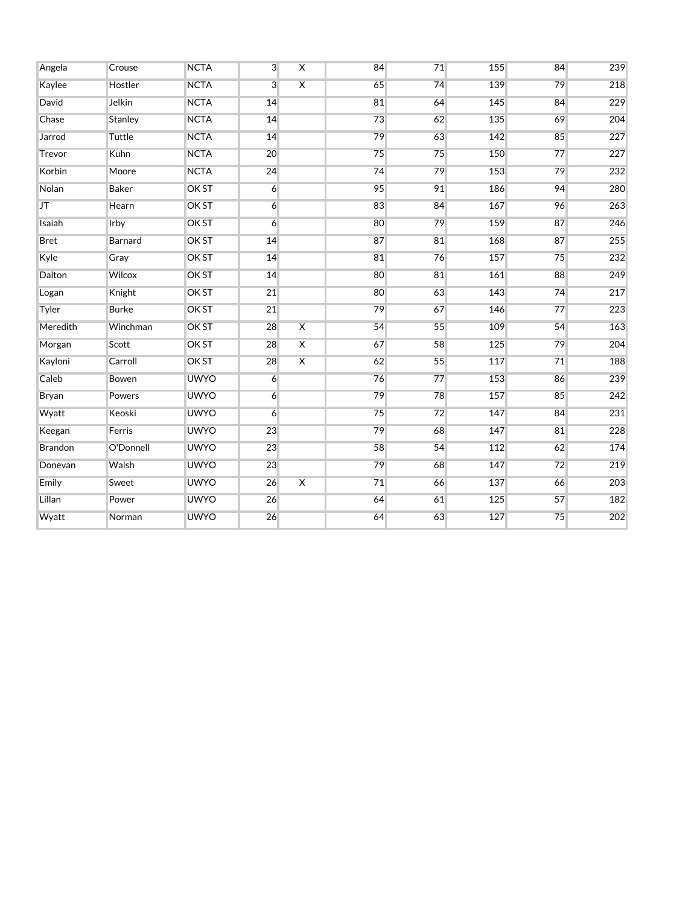| Angela      | Crouse       | <b>NCTA</b>  | $\overline{3}$ | $\overline{\mathsf{x}}$ | 84 | 71 | 155 | 84 | 239 |
|-------------|--------------|--------------|----------------|-------------------------|----|----|-----|----|-----|
| Kaylee      | Hostler      | <b>NCTA</b>  | 3              | $\overline{\mathsf{x}}$ | 65 | 74 | 139 | 79 | 218 |
| David       | Jelkin       | <b>NCTA</b>  | 14             |                         | 81 | 64 | 145 | 84 | 229 |
| Chase       | Stanley      | <b>NCTA</b>  | 14             |                         | 73 | 62 | 135 | 69 | 204 |
| Jarrod      | Tuttle       | <b>NCTA</b>  | 14             |                         | 79 | 63 | 142 | 85 | 227 |
| Trevor      | Kuhn         | <b>NCTA</b>  | 20             |                         | 75 | 75 | 150 | 77 | 227 |
| Korbin      | Moore        | <b>NCTA</b>  | 24             |                         | 74 | 79 | 153 | 79 | 232 |
| Nolan       | <b>Baker</b> | OK ST        | 6              |                         | 95 | 91 | 186 | 94 | 280 |
| JT          | Hearn        | OK ST        | $\overline{6}$ |                         | 83 | 84 | 167 | 96 | 263 |
| Isaiah      | <b>Irby</b>  | <b>OKST</b>  | $\overline{6}$ |                         | 80 | 79 | 159 | 87 | 246 |
| <b>Bret</b> | Barnard      | OK ST        | 14             |                         | 87 | 81 | 168 | 87 | 255 |
| Kyle        | Gray         | <b>OK ST</b> | 14             |                         | 81 | 76 | 157 | 75 | 232 |
| Dalton      | Wilcox       | <b>OK ST</b> | 14             |                         | 80 | 81 | 161 | 88 | 249 |
| Logan       | Knight       | <b>OK ST</b> | 21             |                         | 80 | 63 | 143 | 74 | 217 |
| Tyler       | <b>Burke</b> | OK ST        | 21             |                         | 79 | 67 | 146 | 77 | 223 |
| Meredith    | Winchman     | <b>OK ST</b> | 28             | $\overline{\mathsf{x}}$ | 54 | 55 | 109 | 54 | 163 |
| Morgan      | Scott        | <b>OK ST</b> | 28             | $\overline{\mathsf{X}}$ | 67 | 58 | 125 | 79 | 204 |
| Kayloni     | Carroll      | OK ST        | 28             | $\overline{\mathsf{X}}$ | 62 | 55 | 117 | 71 | 188 |
| Caleb       | Bowen        | <b>UWYO</b>  | 6              |                         | 76 | 77 | 153 | 86 | 239 |
| Bryan       | Powers       | <b>UWYO</b>  | 6              |                         | 79 | 78 | 157 | 85 | 242 |
| Wyatt       | Keoski       | <b>UWYO</b>  | $\overline{6}$ |                         | 75 | 72 | 147 | 84 | 231 |
| Keegan      | Ferris       | <b>UWYO</b>  | 23             |                         | 79 | 68 | 147 | 81 | 228 |
| Brandon     | O'Donnell    | <b>UWYO</b>  | 23             |                         | 58 | 54 | 112 | 62 | 174 |
| Donevan     | Walsh        | <b>UWYO</b>  | 23             |                         | 79 | 68 | 147 | 72 | 219 |
| Emily       | Sweet        | <b>UWYO</b>  | 26             | $\overline{\mathsf{x}}$ | 71 | 66 | 137 | 66 | 203 |
| Lillan      | Power        | <b>UWYO</b>  | 26             |                         | 64 | 61 | 125 | 57 | 182 |
| Wyatt       | Norman       | <b>UWYO</b>  | 26             |                         | 64 | 63 | 127 | 75 | 202 |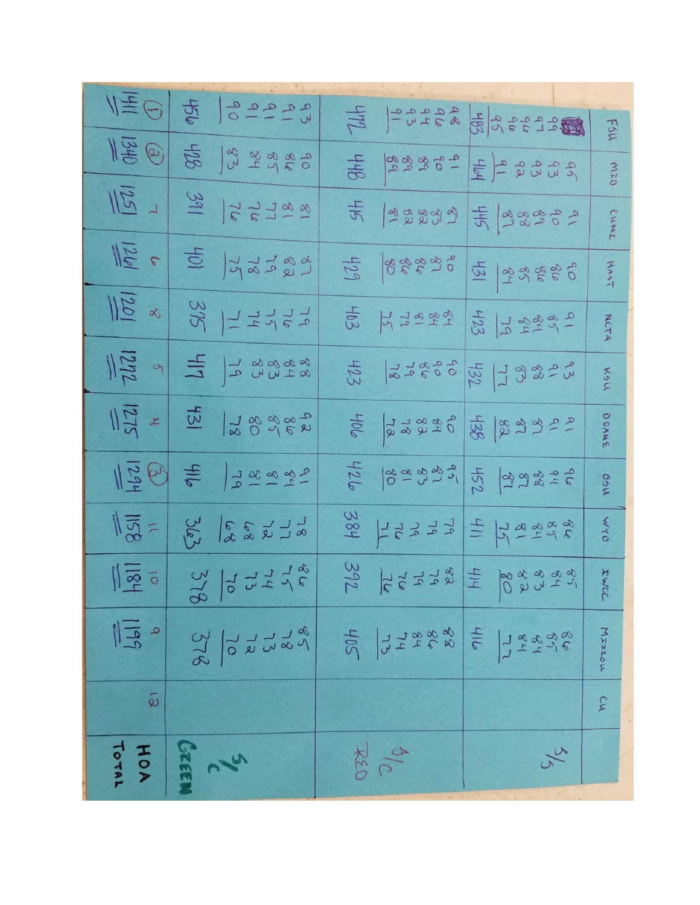|                      | $\frac{1}{\sqrt{2}}\frac{1}{\sqrt{2}}\int_{0}^{\infty}\frac{1}{\sqrt{2}}\left \frac{1}{\sqrt{2}}\frac{1}{\sqrt{2}}\frac{1}{\sqrt{2}}\frac{1}{\sqrt{2}}\frac{1}{\sqrt{2}}\frac{1}{\sqrt{2}}\frac{1}{\sqrt{2}}\frac{1}{\sqrt{2}}\frac{1}{\sqrt{2}}\frac{1}{\sqrt{2}}\frac{1}{\sqrt{2}}\frac{1}{\sqrt{2}}\frac{1}{\sqrt{2}}\frac{1}{\sqrt{2}}\frac{1}{\sqrt{2}}\frac{1}{\sqrt{2}}\frac{1}{\sqrt{2}}\frac{1}{\sqrt{2$ |                                                                                                                                             |                                                                                                     |
|----------------------|-------------------------------------------------------------------------------------------------------------------------------------------------------------------------------------------------------------------------------------------------------------------------------------------------------------------------------------------------------------------------------------------------------------------|---------------------------------------------------------------------------------------------------------------------------------------------|-----------------------------------------------------------------------------------------------------|
|                      |                                                                                                                                                                                                                                                                                                                                                                                                                   |                                                                                                                                             | FSU                                                                                                 |
|                      | $\frac{120}{120}$                                                                                                                                                                                                                                                                                                                                                                                                 |                                                                                                                                             | 2020-2020<br>OIN                                                                                    |
|                      | $\frac{1}{\sqrt{2}}$ 1 $\frac{1}{\sqrt{2}}$ $\frac{1}{\sqrt{2}}$ $\frac{1}{\sqrt{2}}$ $\frac{1}{\sqrt{2}}$                                                                                                                                                                                                                                                                                                        | 4 5 5 3 3 7 9                                                                                                                               | 50000000000<br>CUNS                                                                                 |
| $\frac{1}{\sqrt{2}}$ | 5 723388                                                                                                                                                                                                                                                                                                                                                                                                          | 25 988996 77 98886                                                                                                                          | HAST                                                                                                |
|                      | $\frac{1}{100}$ x $\frac{32}{11}$ $\frac{1}{11}$ $\frac{1}{11}$                                                                                                                                                                                                                                                                                                                                                   | $rac{60}{10}$ $rac{42}{10}$ $rac{42}{10}$                                                                                                   | 2 2 3 2 2 1 3 3<br>NCTA                                                                             |
|                      | $\frac{88888}{\frac{22}{2}}$ PM $\frac{1}{2}$ PM $\frac{1}{2}$                                                                                                                                                                                                                                                                                                                                                    | $\frac{1}{2}$ $\frac{1}{2}$ $\frac{1}{2}$ $\frac{1}{2}$ $\frac{1}{2}$ $\frac{1}{2}$ $\frac{1}{2}$ $\frac{1}{2}$ $\frac{1}{2}$ $\frac{1}{2}$ | スロン                                                                                                 |
|                      | $  \vec{z}   = \frac{1}{2}$                                                                                                                                                                                                                                                                                                                                                                                       |                                                                                                                                             | DOANE                                                                                               |
|                      | $\ \vec{5}\otimes\right  =  \vec{5}\times\vec{5}\times\vec{5} $                                                                                                                                                                                                                                                                                                                                                   | 24899999999999999                                                                                                                           | Osu                                                                                                 |
|                      | $\frac{1}{\sqrt{2}} = \begin{vmatrix} 2 & 2 & 1 \\ 2 & 2 & 1 \\ 3 & 4 & 5 \end{vmatrix}$                                                                                                                                                                                                                                                                                                                          | $\frac{1}{28}$ $\frac{1}{27}$ $\frac{1}{27}$ $\frac{1}{27}$ $\frac{1}{27}$ $\frac{1}{27}$                                                   | OAM                                                                                                 |
|                      | $\frac{1}{\sqrt{2}}$ = $\frac{3}{2}$ $\frac{3}{2}$ $\frac{1}{2}$ $\frac{1}{2}$ $\frac{1}{2}$ $\frac{3}{2}$                                                                                                                                                                                                                                                                                                        |                                                                                                                                             | $rac{32}{36}$ $rac{36}{36}$ $rac{36}{4}$ $rac{36}{4}$ $rac{36}{4}$ $rac{36}{4}$ $rac{36}{4}$<br>IWC |
| $\frac{1}{16}$       | $rac{2}{3}$ $rac{1}{3}$ $rac{1}{3}$ $rac{1}{3}$ $rac{1}{3}$                                                                                                                                                                                                                                                                                                                                                       | 20172888                                                                                                                                    | $\frac{1}{2}$<br>MIZZOU<br>$78898$<br>$79898$                                                       |
| $\tilde{\omega}$     |                                                                                                                                                                                                                                                                                                                                                                                                                   |                                                                                                                                             | CW                                                                                                  |
| TOTAL<br>HOA         | <b>JREE</b><br>26                                                                                                                                                                                                                                                                                                                                                                                                 | 26<br>九つつ                                                                                                                                   | $\frac{2}{\sqrt{6}}$                                                                                |